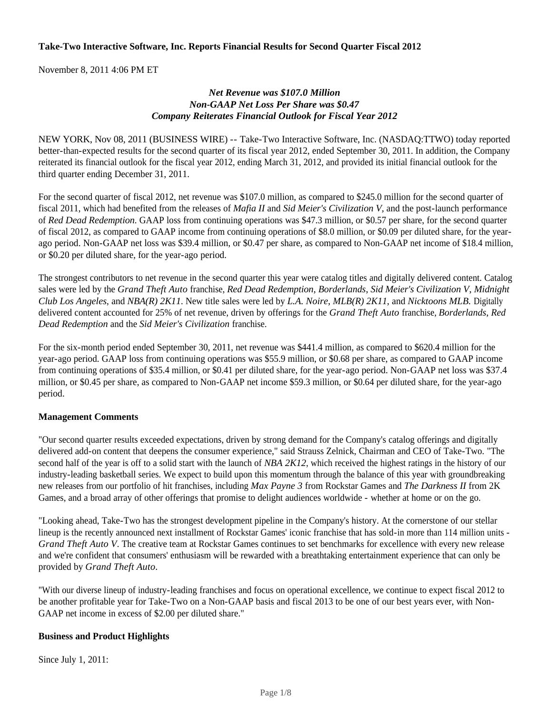### **Take-Two Interactive Software, Inc. Reports Financial Results for Second Quarter Fiscal 2012**

November 8, 2011 4:06 PM ET

### *Net Revenue was \$107.0 Million Non-GAAP Net Loss Per Share was \$0.47 Company Reiterates Financial Outlook for Fiscal Year 2012*

NEW YORK, Nov 08, 2011 (BUSINESS WIRE) -- Take-Two Interactive Software, Inc. (NASDAQ:TTWO) today reported better-than-expected results for the second quarter of its fiscal year 2012, ended September 30, 2011. In addition, the Company reiterated its financial outlook for the fiscal year 2012, ending March 31, 2012, and provided its initial financial outlook for the third quarter ending December 31, 2011.

For the second quarter of fiscal 2012, net revenue was \$107.0 million, as compared to \$245.0 million for the second quarter of fiscal 2011, which had benefited from the releases of *Mafia II* and *Sid Meier's Civilization V,* and the post-launch performance of *Red Dead Redemption*. GAAP loss from continuing operations was \$47.3 million, or \$0.57 per share, for the second quarter of fiscal 2012, as compared to GAAP income from continuing operations of \$8.0 million, or \$0.09 per diluted share, for the yearago period. Non-GAAP net loss was \$39.4 million, or \$0.47 per share, as compared to Non-GAAP net income of \$18.4 million, or \$0.20 per diluted share, for the year-ago period.

The strongest contributors to net revenue in the second quarter this year were catalog titles and digitally delivered content. Catalog sales were led by the *Grand Theft Auto* franchise, *Red Dead Redemption*, *Borderlands*, *Sid Meier's Civilization V*, *Midnight Club Los Angeles*, and *NBA(R) 2K11*. New title sales were led by *L.A. Noire*, *MLB(R) 2K11*, and *Nicktoons MLB.* Digitally delivered content accounted for 25% of net revenue, driven by offerings for the *Grand Theft Auto* franchise, *Borderlands*, *Red Dead Redemption* and the *Sid Meier's Civilization* franchise.

For the six-month period ended September 30, 2011, net revenue was \$441.4 million, as compared to \$620.4 million for the year-ago period. GAAP loss from continuing operations was \$55.9 million, or \$0.68 per share, as compared to GAAP income from continuing operations of \$35.4 million, or \$0.41 per diluted share, for the year-ago period. Non-GAAP net loss was \$37.4 million, or \$0.45 per share, as compared to Non-GAAP net income \$59.3 million, or \$0.64 per diluted share, for the year-ago period.

### **Management Comments**

"Our second quarter results exceeded expectations, driven by strong demand for the Company's catalog offerings and digitally delivered add-on content that deepens the consumer experience," said Strauss Zelnick, Chairman and CEO of Take-Two. "The second half of the year is off to a solid start with the launch of *NBA 2K12*, which received the highest ratings in the history of our industry-leading basketball series. We expect to build upon this momentum through the balance of this year with groundbreaking new releases from our portfolio of hit franchises, including *Max Payne 3* from Rockstar Games and *The Darkness II* from 2K Games, and a broad array of other offerings that promise to delight audiences worldwide - whether at home or on the go.

"Looking ahead, Take-Two has the strongest development pipeline in the Company's history. At the cornerstone of our stellar lineup is the recently announced next installment of Rockstar Games' iconic franchise that has sold-in more than 114 million units - *Grand Theft Auto V*. The creative team at Rockstar Games continues to set benchmarks for excellence with every new release and we're confident that consumers' enthusiasm will be rewarded with a breathtaking entertainment experience that can only be provided by *Grand Theft Auto*.

"With our diverse lineup of industry-leading franchises and focus on operational excellence, we continue to expect fiscal 2012 to be another profitable year for Take-Two on a Non-GAAP basis and fiscal 2013 to be one of our best years ever, with Non-GAAP net income in excess of \$2.00 per diluted share."

#### **Business and Product Highlights**

Since July 1, 2011: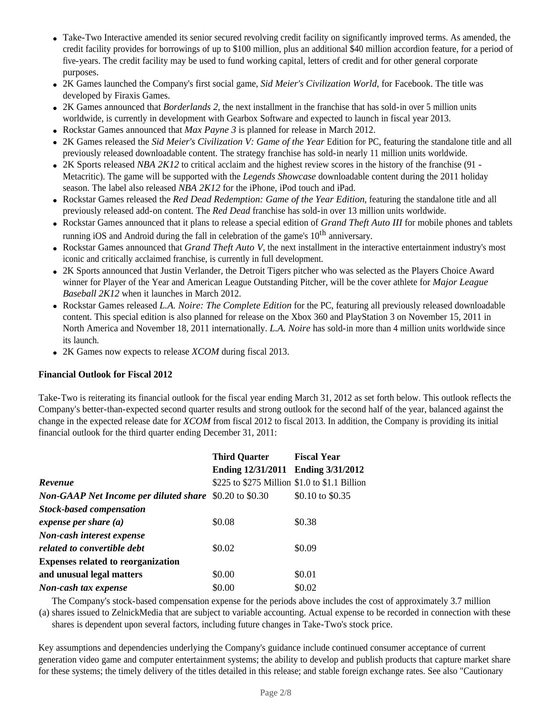- Take-Two Interactive amended its senior secured revolving credit facility on significantly improved terms. As amended, the credit facility provides for borrowings of up to \$100 million, plus an additional \$40 million accordion feature, for a period of five-years. The credit facility may be used to fund working capital, letters of credit and for other general corporate purposes.
- 2K Games launched the Company's first social game, *Sid Meier's Civilization World*, for Facebook. The title was developed by Firaxis Games.
- 2K Games announced that *Borderlands 2*, the next installment in the franchise that has sold-in over 5 million units worldwide, is currently in development with Gearbox Software and expected to launch in fiscal year 2013.
- Rockstar Games announced that *Max Payne 3* is planned for release in March 2012.
- 2K Games released the *Sid Meier's Civilization V: Game of the Year* Edition for PC, featuring the standalone title and all previously released downloadable content. The strategy franchise has sold-in nearly 11 million units worldwide.
- 2K Sports released *NBA 2K12* to critical acclaim and the highest review scores in the history of the franchise (91 -Metacritic). The game will be supported with the *Legends Showcase* downloadable content during the 2011 holiday season. The label also released *NBA 2K12* for the iPhone, iPod touch and iPad.
- Rockstar Games released the *Red Dead Redemption: Game of the Year Edition*, featuring the standalone title and all previously released add-on content. The *Red Dead* franchise has sold-in over 13 million units worldwide.
- Rockstar Games announced that it plans to release a special edition of *Grand Theft Auto III* for mobile phones and tablets running iOS and Android during the fall in celebration of the game's 10<sup>th</sup> anniversary.
- Rockstar Games announced that *Grand Theft Auto V*, the next installment in the interactive entertainment industry's most iconic and critically acclaimed franchise, is currently in full development.
- 2K Sports announced that Justin Verlander, the Detroit Tigers pitcher who was selected as the Players Choice Award winner for Player of the Year and American League Outstanding Pitcher, will be the cover athlete for *Major League Baseball 2K12* when it launches in March 2012.
- Rockstar Games released *L.A. Noire: The Complete Edition* for the PC, featuring all previously released downloadable content. This special edition is also planned for release on the Xbox 360 and PlayStation 3 on November 15, 2011 in North America and November 18, 2011 internationally. *L.A. Noire* has sold-in more than 4 million units worldwide since its launch.
- 2K Games now expects to release *XCOM* during fiscal 2013.

## **Financial Outlook for Fiscal 2012**

Take-Two is reiterating its financial outlook for the fiscal year ending March 31, 2012 as set forth below. This outlook reflects the Company's better-than-expected second quarter results and strong outlook for the second half of the year, balanced against the change in the expected release date for *XCOM* from fiscal 2012 to fiscal 2013. In addition, the Company is providing its initial financial outlook for the third quarter ending December 31, 2011:

|                                                               | <b>Third Quarter</b>                          | <b>Fiscal Year</b> |
|---------------------------------------------------------------|-----------------------------------------------|--------------------|
|                                                               | Ending 12/31/2011 Ending 3/31/2012            |                    |
| Revenue                                                       | \$225 to \$275 Million \$1.0 to \$1.1 Billion |                    |
| <b>Non-GAAP Net Income per diluted share</b> \$0.20 to \$0.30 |                                               | \$0.10 to \$0.35   |
| <b>Stock-based compensation</b>                               |                                               |                    |
| expense per share $(a)$                                       | \$0.08                                        | \$0.38             |
| Non-cash interest expense                                     |                                               |                    |
| related to convertible debt                                   | \$0.02                                        | \$0.09             |
| <b>Expenses related to reorganization</b>                     |                                               |                    |
| and unusual legal matters                                     | \$0.00                                        | \$0.01             |
| Non-cash tax expense                                          | \$0.00                                        | \$0.02             |

(a) shares issued to ZelnickMedia that are subject to variable accounting. Actual expense to be recorded in connection with these The Company's stock-based compensation expense for the periods above includes the cost of approximately 3.7 million

shares is dependent upon several factors, including future changes in Take-Two's stock price.

Key assumptions and dependencies underlying the Company's guidance include continued consumer acceptance of current generation video game and computer entertainment systems; the ability to develop and publish products that capture market share for these systems; the timely delivery of the titles detailed in this release; and stable foreign exchange rates. See also "Cautionary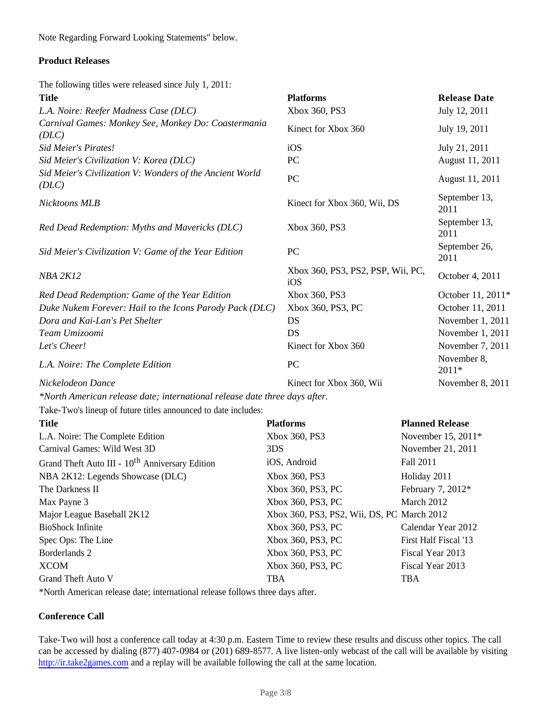Note Regarding Forward Looking Statements" below.

## **Product Releases**

| The following titles were released since July 1, 2011:                     |                                            |                  |                        |  |  |  |
|----------------------------------------------------------------------------|--------------------------------------------|------------------|------------------------|--|--|--|
| <b>Title</b>                                                               | <b>Platforms</b>                           |                  | <b>Release Date</b>    |  |  |  |
| L.A. Noire: Reefer Madness Case (DLC)                                      | Xbox 360, PS3                              |                  | July 12, 2011          |  |  |  |
| Carnival Games: Monkey See, Monkey Do: Coastermania<br>(DLC)               | Kinect for Xbox 360                        |                  | July 19, 2011          |  |  |  |
| Sid Meier's Pirates!                                                       | iOS                                        |                  | July 21, 2011          |  |  |  |
| Sid Meier's Civilization V: Korea (DLC)                                    | PC                                         |                  | August 11, 2011        |  |  |  |
| Sid Meier's Civilization V: Wonders of the Ancient World<br>(DLC)          | PC                                         |                  |                        |  |  |  |
| Nicktoons MLB                                                              | Kinect for Xbox 360, Wii, DS               |                  | September 13,<br>2011  |  |  |  |
| Red Dead Redemption: Myths and Mavericks (DLC)                             | Xbox 360, PS3                              |                  | September 13,<br>2011  |  |  |  |
| Sid Meier's Civilization V: Game of the Year Edition                       | PC                                         |                  | September 26,<br>2011  |  |  |  |
| <b>NBA 2K12</b>                                                            | Xbox 360, PS3, PS2, PSP, Wii, PC,<br>iOS   |                  | October 4, 2011        |  |  |  |
| Red Dead Redemption: Game of the Year Edition                              | Xbox 360, PS3                              |                  | October 11, 2011*      |  |  |  |
| Duke Nukem Forever: Hail to the Icons Parody Pack (DLC)                    | Xbox 360, PS3, PC                          |                  | October 11, 2011       |  |  |  |
| Dora and Kai-Lan's Pet Shelter                                             | DS                                         |                  | November 1, 2011       |  |  |  |
| Team Umizoomi                                                              | <b>DS</b>                                  |                  | November 1, 2011       |  |  |  |
| Let's Cheer!                                                               | Kinect for Xbox 360                        |                  | November 7, 2011       |  |  |  |
| L.A. Noire: The Complete Edition                                           | PC                                         |                  | November 8,<br>$2011*$ |  |  |  |
| Nickelodeon Dance                                                          | Kinect for Xbox 360, Wii                   |                  |                        |  |  |  |
| *North American release date; international release date three days after. |                                            |                  |                        |  |  |  |
| Take-Two's lineup of future titles announced to date includes:             |                                            |                  |                        |  |  |  |
| <b>Title</b>                                                               | <b>Platforms</b>                           |                  | <b>Planned Release</b> |  |  |  |
| L.A. Noire: The Complete Edition                                           | Xbox 360, PS3                              |                  | November 15, $2011*$   |  |  |  |
| Carnival Games: Wild West 3D                                               | 3DS                                        |                  | November 21, 2011      |  |  |  |
| Grand Theft Auto III - 10 <sup>th</sup> Anniversary Edition                | iOS, Android                               | Fall 2011        |                        |  |  |  |
| NBA 2K12: Legends Showcase (DLC)                                           | Xbox 360, PS3                              | Holiday 2011     |                        |  |  |  |
| The Darkness II                                                            | Xbox 360, PS3, PC                          |                  | February 7, 2012*      |  |  |  |
| Max Payne 3                                                                | Xbox 360, PS3, PC                          | March 2012       |                        |  |  |  |
| Major League Baseball 2K12                                                 | Xbox 360, PS3, PS2, Wii, DS, PC March 2012 |                  |                        |  |  |  |
| <b>BioShock Infinite</b>                                                   | Xbox 360, PS3, PC                          |                  | Calendar Year 2012     |  |  |  |
| Spec Ops: The Line                                                         | Xbox 360, PS3, PC                          |                  | First Half Fiscal '13  |  |  |  |
| Borderlands 2                                                              | Xbox 360, PS3, PC                          |                  | Fiscal Year 2013       |  |  |  |
| <b>XCOM</b>                                                                | Xbox 360, PS3, PC                          | Fiscal Year 2013 |                        |  |  |  |
| Grand Theft Auto V                                                         | TBA                                        | <b>TBA</b>       |                        |  |  |  |
|                                                                            |                                            |                  |                        |  |  |  |

\*North American release date; international release follows three days after.

## **Conference Call**

Take-Two will host a conference call today at 4:30 p.m. Eastern Time to review these results and discuss other topics. The call can be accessed by dialing (877) 407-0984 or (201) 689-8577. A live listen-only webcast of the call will be available by visiting http://ir.take2games.com and a replay will be available following the call at the same location.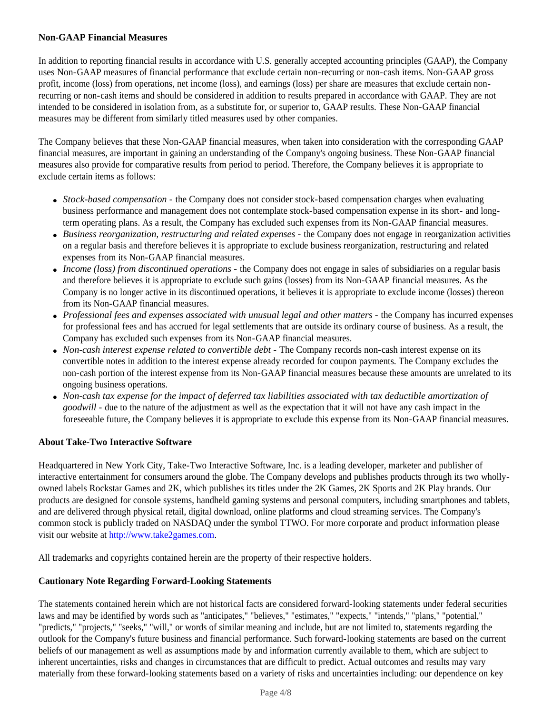## **Non-GAAP Financial Measures**

In addition to reporting financial results in accordance with U.S. generally accepted accounting principles (GAAP), the Company uses Non-GAAP measures of financial performance that exclude certain non-recurring or non-cash items. Non-GAAP gross profit, income (loss) from operations, net income (loss), and earnings (loss) per share are measures that exclude certain nonrecurring or non-cash items and should be considered in addition to results prepared in accordance with GAAP. They are not intended to be considered in isolation from, as a substitute for, or superior to, GAAP results. These Non-GAAP financial measures may be different from similarly titled measures used by other companies.

The Company believes that these Non-GAAP financial measures, when taken into consideration with the corresponding GAAP financial measures, are important in gaining an understanding of the Company's ongoing business. These Non-GAAP financial measures also provide for comparative results from period to period. Therefore, the Company believes it is appropriate to exclude certain items as follows:

- *Stock-based compensation* the Company does not consider stock-based compensation charges when evaluating business performance and management does not contemplate stock-based compensation expense in its short- and longterm operating plans. As a result, the Company has excluded such expenses from its Non-GAAP financial measures.
- *Business reorganization, restructuring and related expenses* the Company does not engage in reorganization activities on a regular basis and therefore believes it is appropriate to exclude business reorganization, restructuring and related expenses from its Non-GAAP financial measures.
- *Income (loss) from discontinued operations* the Company does not engage in sales of subsidiaries on a regular basis and therefore believes it is appropriate to exclude such gains (losses) from its Non-GAAP financial measures. As the Company is no longer active in its discontinued operations, it believes it is appropriate to exclude income (losses) thereon from its Non-GAAP financial measures.
- *Professional fees and expenses associated with unusual legal and other matters* the Company has incurred expenses for professional fees and has accrued for legal settlements that are outside its ordinary course of business. As a result, the Company has excluded such expenses from its Non-GAAP financial measures.
- *Non-cash interest expense related to convertible debt* The Company records non-cash interest expense on its convertible notes in addition to the interest expense already recorded for coupon payments. The Company excludes the non-cash portion of the interest expense from its Non-GAAP financial measures because these amounts are unrelated to its ongoing business operations.
- *Non-cash tax expense for the impact of deferred tax liabilities associated with tax deductible amortization of goodwill* - due to the nature of the adjustment as well as the expectation that it will not have any cash impact in the foreseeable future, the Company believes it is appropriate to exclude this expense from its Non-GAAP financial measures*.*

### **About Take-Two Interactive Software**

Headquartered in New York City, Take-Two Interactive Software, Inc. is a leading developer, marketer and publisher of interactive entertainment for consumers around the globe. The Company develops and publishes products through its two whollyowned labels Rockstar Games and 2K, which publishes its titles under the 2K Games, 2K Sports and 2K Play brands. Our products are designed for console systems, handheld gaming systems and personal computers, including smartphones and tablets, and are delivered through physical retail, digital download, online platforms and cloud streaming services. The Company's common stock is publicly traded on NASDAQ under the symbol TTWO. For more corporate and product information please visit our website at http://www.take2games.com.

All trademarks and copyrights contained herein are the property of their respective holders.

### **Cautionary Note Regarding Forward-Looking Statements**

The statements contained herein which are not historical facts are considered forward-looking statements under federal securities laws and may be identified by words such as "anticipates," "believes," "estimates," "expects," "intends," "plans," "potential," "predicts," "projects," "seeks," "will," or words of similar meaning and include, but are not limited to, statements regarding the outlook for the Company's future business and financial performance. Such forward-looking statements are based on the current beliefs of our management as well as assumptions made by and information currently available to them, which are subject to inherent uncertainties, risks and changes in circumstances that are difficult to predict. Actual outcomes and results may vary materially from these forward-looking statements based on a variety of risks and uncertainties including: our dependence on key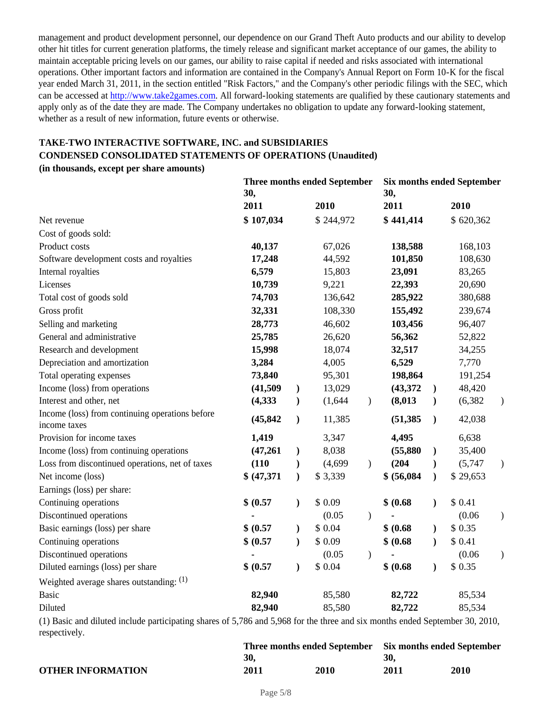management and product development personnel, our dependence on our Grand Theft Auto products and our ability to develop other hit titles for current generation platforms, the timely release and significant market acceptance of our games, the ability to maintain acceptable pricing levels on our games, our ability to raise capital if needed and risks associated with international operations. Other important factors and information are contained in the Company's Annual Report on Form 10-K for the fiscal year ended March 31, 2011, in the section entitled "Risk Factors," and the Company's other periodic filings with the SEC, which can be accessed at http://www.take2games.com. All forward-looking statements are qualified by these cautionary statements and apply only as of the date they are made. The Company undertakes no obligation to update any forward-looking statement, whether as a result of new information, future events or otherwise.

## **TAKE-TWO INTERACTIVE SOFTWARE, INC. and SUBSIDIARIES CONDENSED CONSOLIDATED STATEMENTS OF OPERATIONS (Unaudited) (in thousands, except per share amounts)**

**Three months ended September 30, Six months ended September 30, 2011 2010 2011 2010** Net revenue **\$ 107,034** \$ 244,972 **\$ 441,414** \$ 620,362 Cost of goods sold: Product costs **40,137** 67,026 **138,588** 168,103 Software development costs and royalties **17,248** 44,592 **101,850** 108,630 Internal royalties **6,579** 15,803 **23,091** 83,265 Licenses **10,739** 9,221 **22,393** 20,690 Total cost of goods sold **74,703** 136,642 **285,922** 380,688 Gross profit **32,331** 108,330 **155,492** 239,674 Selling and marketing **28,773** 46,602 **103,456** 96,407 General and administrative **25,785** 26,620 56,362 52,822 Research and development **15,998** 18,074 **32,517** 34,255 Depreciation and amortization **3,284** 4,005 **6,529** 7,770 Total operating expenses **73,840** 95,301 **198,864** 191,254 Income (loss) from operations **(41,509 )** 13,029 **(43,372 )** 48,420 Interest and other, net **(4,333 )** (1,644 ) **(8,013 )** (6,382 ) Income (loss) from continuing operations before income taxes **(45,842 )** 11,385 **(51,385 )** 42,038 Provision for income taxes **1,419** 3,347 **4,495** 6,638 Income (loss) from continuing operations **(47,261 )** 8,038 **(55,880 )** 35,400 Loss from discontinued operations, net of taxes **(110 )** (4,699 ) **(204 )** (5,747 ) Net income (loss) **\$ (47,371 )** \$ 3,339 **\$ (56,084 )** \$ 29,653 Earnings (loss) per share: Continuing operations **\$ (0.57 )** \$ 0.09 **\$ (0.68 )** \$ 0.41 Discontinued operations **-** (0.05 ) **-** (0.06 ) Basic earnings (loss) per share **\$ (0.57 )** \$ 0.04 **\$ (0.68 )** \$ 0.35 Continuing operations **\$ (0.57 )** \$ 0.09 **\$ (0.68 )** \$ 0.41 Discontinued operations **-** (0.05 ) **-** (0.06 ) Diluted earnings (loss) per share **\$ (0.57 )** \$ 0.04 **\$ (0.68 )** \$ 0.35 Weighted average shares outstanding:  $(1)$ Basic **82,940** 85,580 82,722 85,534 Diluted **82,940** 85,580 **82,722** 85,534

(1) Basic and diluted include participating shares of 5,786 and 5,968 for the three and six months ended September 30, 2010, respectively.

|                          |      |      | Three months ended September Six months ended September |      |  |
|--------------------------|------|------|---------------------------------------------------------|------|--|
|                          | 30.  |      | 30.                                                     |      |  |
| <b>OTHER INFORMATION</b> | 2011 | 2010 | 2011                                                    | 2010 |  |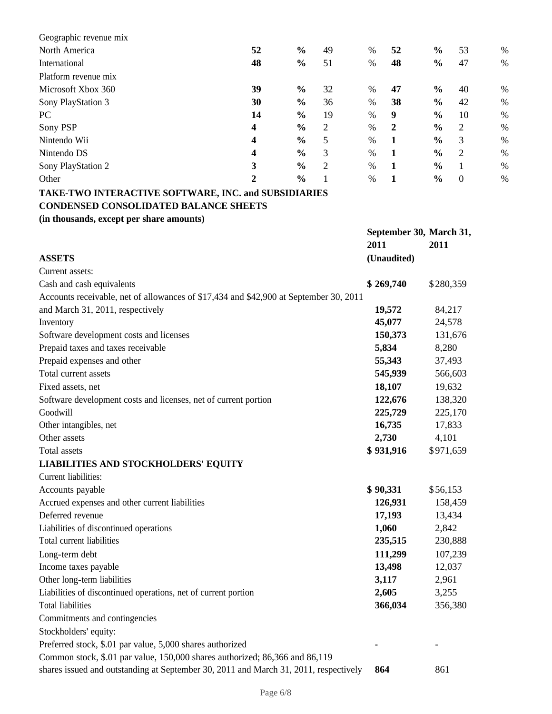| Geographic revenue mix |    |               |                |      |    |               |                |      |
|------------------------|----|---------------|----------------|------|----|---------------|----------------|------|
| North America          | 52 | $\frac{6}{9}$ | 49             | %    | 52 | $\frac{0}{0}$ | 53             | $\%$ |
| International          | 48 | $\frac{6}{6}$ | 51             | $\%$ | 48 | $\frac{0}{0}$ | 47             | $\%$ |
| Platform revenue mix   |    |               |                |      |    |               |                |      |
| Microsoft Xbox 360     | 39 | $\frac{6}{9}$ | 32             | %    | 47 | $\frac{6}{6}$ | 40             | %    |
| Sony PlayStation 3     | 30 | $\%$          | 36             | %    | 38 | $\frac{6}{9}$ | 42             | %    |
| PC                     | 14 | $\frac{6}{9}$ | 19             | %    | 9  | $\frac{6}{6}$ | 10             | $\%$ |
| Sony PSP               | 4  | $\%$          | 2              | %    | 2  | $\frac{6}{9}$ | 2              | $\%$ |
| Nintendo Wii           | 4  | $\frac{6}{6}$ | 5              | %    | 1  | $\frac{6}{6}$ | 3              | $\%$ |
| Nintendo DS            | 4  | $\frac{6}{9}$ | 3              | $\%$ | 1  | $\frac{0}{0}$ | $\overline{2}$ | $\%$ |
| Sony PlayStation 2     | 3  | $\%$          | $\overline{2}$ | $\%$ | 1  | $\frac{0}{0}$ |                | $\%$ |
| Other                  | 2  | $\frac{6}{9}$ |                | %    |    | $\frac{0}{0}$ | $\overline{0}$ | $\%$ |

## **TAKE-TWO INTERACTIVE SOFTWARE, INC. and SUBSIDIARIES CONDENSED CONSOLIDATED BALANCE SHEETS**

**<sup>(</sup>in thousands, except per share amounts)**

|                                                                                       | September 30, March 31,<br>2011 | 2011      |
|---------------------------------------------------------------------------------------|---------------------------------|-----------|
| <b>ASSETS</b>                                                                         | (Unaudited)                     |           |
| Current assets:                                                                       |                                 |           |
| Cash and cash equivalents                                                             | \$269,740                       | \$280,359 |
| Accounts receivable, net of allowances of \$17,434 and \$42,900 at September 30, 2011 |                                 |           |
| and March 31, 2011, respectively                                                      | 19,572                          | 84,217    |
| Inventory                                                                             | 45,077                          | 24,578    |
| Software development costs and licenses                                               | 150,373                         | 131,676   |
| Prepaid taxes and taxes receivable                                                    | 5,834                           | 8,280     |
| Prepaid expenses and other                                                            | 55,343                          | 37,493    |
| Total current assets                                                                  | 545,939                         | 566,603   |
| Fixed assets, net                                                                     | 18,107                          | 19,632    |
| Software development costs and licenses, net of current portion                       | 122,676                         | 138,320   |
| Goodwill                                                                              | 225,729                         | 225,170   |
| Other intangibles, net                                                                | 16,735                          | 17,833    |
| Other assets                                                                          | 2,730                           | 4,101     |
| Total assets                                                                          | \$931,916                       | \$971,659 |
| <b>LIABILITIES AND STOCKHOLDERS' EQUITY</b>                                           |                                 |           |
| Current liabilities:                                                                  |                                 |           |
| Accounts payable                                                                      | \$90,331                        | \$56,153  |
| Accrued expenses and other current liabilities                                        | 126,931                         | 158,459   |
| Deferred revenue                                                                      | 17,193                          | 13,434    |
| Liabilities of discontinued operations                                                | 1,060                           | 2,842     |
| Total current liabilities                                                             | 235,515                         | 230,888   |
| Long-term debt                                                                        | 111,299                         | 107,239   |
| Income taxes payable                                                                  | 13,498                          | 12,037    |
| Other long-term liabilities                                                           | 3,117                           | 2,961     |
| Liabilities of discontinued operations, net of current portion                        | 2,605                           | 3,255     |
| <b>Total liabilities</b>                                                              | 366,034                         | 356,380   |
| Commitments and contingencies                                                         |                                 |           |
| Stockholders' equity:                                                                 |                                 |           |
| Preferred stock, \$.01 par value, 5,000 shares authorized                             |                                 |           |
| Common stock, \$.01 par value, 150,000 shares authorized; 86,366 and 86,119           |                                 |           |
| shares issued and outstanding at September 30, 2011 and March 31, 2011, respectively  | 864                             | 861       |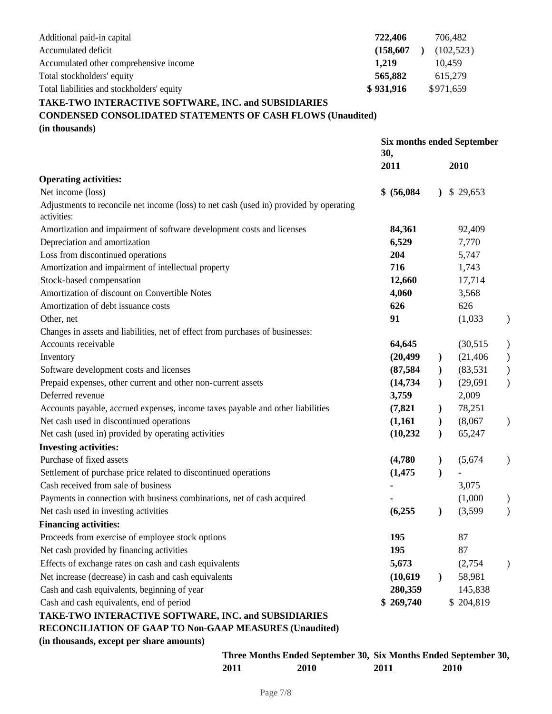| Additional paid-in capital                 | 722,406   | 706,482    |  |
|--------------------------------------------|-----------|------------|--|
| Accumulated deficit                        | (158.607  | (102, 523) |  |
| Accumulated other comprehensive income     | 1.219     | 10.459     |  |
| Total stockholders' equity                 | 565,882   | 615.279    |  |
| Total liabilities and stockholders' equity | \$931,916 | \$971,659  |  |

# **TAKE-TWO INTERACTIVE SOFTWARE, INC. and SUBSIDIARIES**

# **CONDENSED CONSOLIDATED STATEMENTS OF CASH FLOWS (Unaudited)**

**(in thousands)**

|                                                                                                       | <b>Six months ended September</b> |               |           |               |
|-------------------------------------------------------------------------------------------------------|-----------------------------------|---------------|-----------|---------------|
|                                                                                                       | 30,<br>2011                       |               | 2010      |               |
| <b>Operating activities:</b>                                                                          |                                   |               |           |               |
| Net income (loss)                                                                                     | \$ (56,084)                       | $\lambda$     | \$29,653  |               |
| Adjustments to reconcile net income (loss) to net cash (used in) provided by operating<br>activities: |                                   |               |           |               |
| Amortization and impairment of software development costs and licenses                                | 84,361                            |               | 92,409    |               |
| Depreciation and amortization                                                                         | 6,529                             |               | 7,770     |               |
| Loss from discontinued operations                                                                     | 204                               |               | 5,747     |               |
| Amortization and impairment of intellectual property                                                  | 716                               |               | 1,743     |               |
| Stock-based compensation                                                                              | 12,660                            |               | 17,714    |               |
| Amortization of discount on Convertible Notes                                                         | 4,060                             |               | 3,568     |               |
| Amortization of debt issuance costs                                                                   | 626                               |               | 626       |               |
| Other, net                                                                                            | 91                                |               | (1,033)   | $\mathcal{E}$ |
| Changes in assets and liabilities, net of effect from purchases of businesses:                        |                                   |               |           |               |
| Accounts receivable                                                                                   | 64,645                            |               | (30,515)  | $\mathcal{E}$ |
| Inventory                                                                                             | (20, 499)                         | $\mathcal{F}$ | (21, 406) | $\mathcal{)}$ |
| Software development costs and licenses                                                               | (87, 584)                         | $\mathcal{L}$ | (83, 531) | $\mathcal{E}$ |
| Prepaid expenses, other current and other non-current assets                                          | (14, 734)                         | $\mathcal{L}$ | (29, 691) | $\mathcal{E}$ |
| Deferred revenue                                                                                      | 3,759                             |               | 2,009     |               |
| Accounts payable, accrued expenses, income taxes payable and other liabilities                        | (7, 821)                          | $\mathcal{F}$ | 78,251    |               |
| Net cash used in discontinued operations                                                              | (1,161)                           | $\mathcal{F}$ | (8,067)   | $\mathcal{E}$ |
| Net cash (used in) provided by operating activities                                                   | (10, 232)                         | $\lambda$     | 65,247    |               |
| <b>Investing activities:</b>                                                                          |                                   |               |           |               |
| Purchase of fixed assets                                                                              | (4,780)                           | $\mathcal{L}$ | (5,674)   | $\mathcal{Y}$ |
| Settlement of purchase price related to discontinued operations                                       | (1, 475)                          | $\lambda$     |           |               |
| Cash received from sale of business                                                                   |                                   |               | 3,075     |               |
| Payments in connection with business combinations, net of cash acquired                               |                                   |               | (1,000)   | $\mathcal{E}$ |
| Net cash used in investing activities                                                                 | (6,255)                           | $\mathcal{E}$ | (3,599)   | $\mathcal{E}$ |
| <b>Financing activities:</b>                                                                          |                                   |               |           |               |
| Proceeds from exercise of employee stock options                                                      | 195                               |               | 87        |               |
| Net cash provided by financing activities                                                             | 195                               |               | 87        |               |
| Effects of exchange rates on cash and cash equivalents                                                | 5,673                             |               | (2,754)   |               |
| Net increase (decrease) in cash and cash equivalents                                                  | (10,619)                          | $\lambda$     | 58,981    |               |
| Cash and cash equivalents, beginning of year                                                          | 280,359                           |               | 145,838   |               |
| Cash and cash equivalents, end of period                                                              | \$269,740                         |               | \$204,819 |               |
| TAKE-TWO INTERACTIVE SOFTWARE, INC. and SUBSIDIARIES                                                  |                                   |               |           |               |
| RECONCILIATION OF GAAP TO Non-GAAP MEASURES (Unaudited)                                               |                                   |               |           |               |

**(in thousands, except per share amounts)**

|      |      |      | Three Months Ended September 30, Six Months Ended September 30, |
|------|------|------|-----------------------------------------------------------------|
| 2011 | 2010 | 2011 | 2010                                                            |